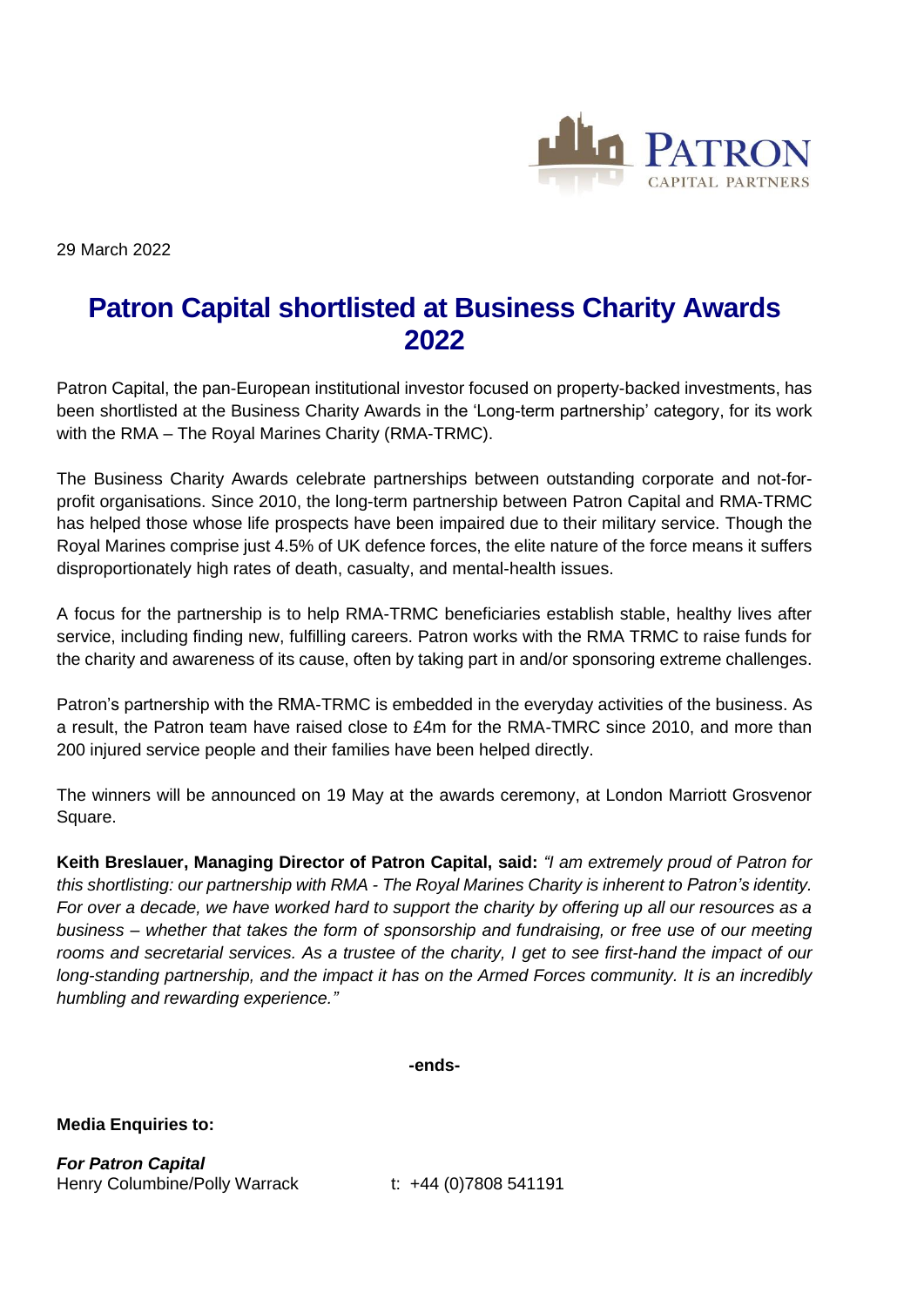

29 March 2022

## **Patron Capital shortlisted at Business Charity Awards 2022**

Patron Capital, the pan-European institutional investor focused on property-backed investments, has been shortlisted at the Business Charity Awards in the 'Long-term partnership' category, for its work with the RMA – The Royal Marines Charity (RMA-TRMC).

The Business Charity Awards celebrate partnerships between outstanding corporate and not-forprofit organisations. Since 2010, the long-term partnership between Patron Capital and RMA-TRMC has helped those whose life prospects have been impaired due to their military service. Though the Royal Marines comprise just 4.5% of UK defence forces, the elite nature of the force means it suffers disproportionately high rates of death, casualty, and mental-health issues.

A focus for the partnership is to help RMA-TRMC beneficiaries establish stable, healthy lives after service, including finding new, fulfilling careers. Patron works with the RMA TRMC to raise funds for the charity and awareness of its cause, often by taking part in and/or sponsoring extreme challenges.

Patron's partnership with the RMA-TRMC is embedded in the everyday activities of the business. As a result, the Patron team have raised close to £4m for the RMA-TMRC since 2010, and more than 200 injured service people and their families have been helped directly.

The winners will be announced on 19 May at the awards ceremony, at London Marriott Grosvenor Square.

**Keith Breslauer, Managing Director of Patron Capital, said:** *"I am extremely proud of Patron for this shortlisting: our partnership with RMA - The Royal Marines Charity is inherent to Patron's identity. For over a decade, we have worked hard to support the charity by offering up all our resources as a business – whether that takes the form of sponsorship and fundraising, or free use of our meeting rooms and secretarial services. As a trustee of the charity, I get to see first-hand the impact of our long-standing partnership, and the impact it has on the Armed Forces community. It is an incredibly humbling and rewarding experience."*

**-ends-**

**Media Enquiries to:**

*For Patron Capital* Henry Columbine/Polly Warrack t: +44 (0)7808 541191